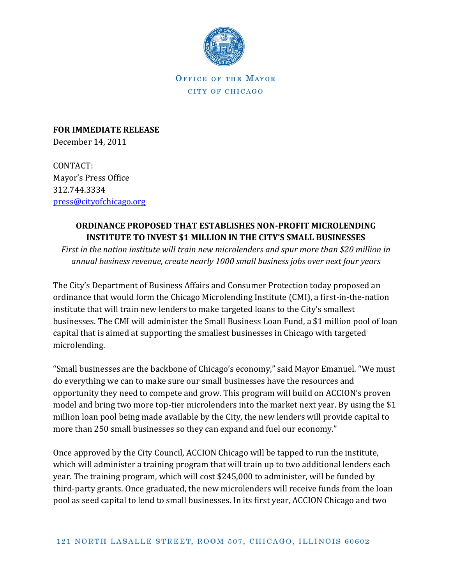

OFFICE OF THE MAYOR CITY OF CHICAGO

**FOR IMMEDIATE RELEASE** December 14, 2011

CONTACT: Mayor's Press Office 312.744.3334 [press@cityofchicago.org](mailto:press@cityofchicago.org)

## **ORDINANCE PROPOSED THAT ESTABLISHES NON-PROFIT MICROLENDING INSTITUTE TO INVEST \$1 MILLION IN THE CITY'S SMALL BUSINESSES**

*First in the nation institute will train new microlenders and spur more than \$20 million in annual business revenue, create nearly 1000 small business jobs over next four years*

The City's Department of Business Affairs and Consumer Protection today proposed an ordinance that would form the Chicago Microlending Institute (CMI), a first-in-the-nation institute that will train new lenders to make targeted loans to the City's smallest businesses. The CMI will administer the Small Business Loan Fund, a \$1 million pool of loan capital that is aimed at supporting the smallest businesses in Chicago with targeted microlending.

"Small businesses are the backbone of Chicago's economy," said Mayor Emanuel. "We must do everything we can to make sure our small businesses have the resources and opportunity they need to compete and grow. This program will build on ACCION's proven model and bring two more top-tier microlenders into the market next year. By using the \$1 million loan pool being made available by the City, the new lenders will provide capital to more than 250 small businesses so they can expand and fuel our economy."

Once approved by the City Council, ACCION Chicago will be tapped to run the institute, which will administer a training program that will train up to two additional lenders each year. The training program, which will cost \$245,000 to administer, will be funded by third-party grants. Once graduated, the new microlenders will receive funds from the loan pool as seed capital to lend to small businesses. In its first year, ACCION Chicago and two